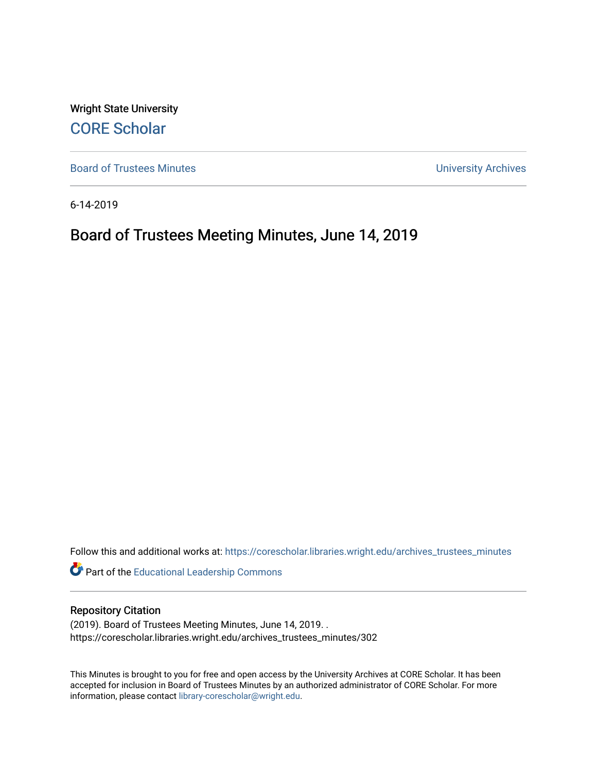Wright State University [CORE Scholar](https://corescholar.libraries.wright.edu/)

[Board of Trustees Minutes](https://corescholar.libraries.wright.edu/archives_trustees_minutes) **Exercise 2018** Solution 2018 10:30 Minutes University Archives

6-14-2019

# Board of Trustees Meeting Minutes, June 14, 2019

Follow this and additional works at: [https://corescholar.libraries.wright.edu/archives\\_trustees\\_minutes](https://corescholar.libraries.wright.edu/archives_trustees_minutes?utm_source=corescholar.libraries.wright.edu%2Farchives_trustees_minutes%2F302&utm_medium=PDF&utm_campaign=PDFCoverPages) 

Part of the [Educational Leadership Commons](https://network.bepress.com/hgg/discipline/1230?utm_source=corescholar.libraries.wright.edu%2Farchives_trustees_minutes%2F302&utm_medium=PDF&utm_campaign=PDFCoverPages) 

#### Repository Citation

(2019). Board of Trustees Meeting Minutes, June 14, 2019. . https://corescholar.libraries.wright.edu/archives\_trustees\_minutes/302

This Minutes is brought to you for free and open access by the University Archives at CORE Scholar. It has been accepted for inclusion in Board of Trustees Minutes by an authorized administrator of CORE Scholar. For more information, please contact [library-corescholar@wright.edu.](mailto:library-corescholar@wright.edu)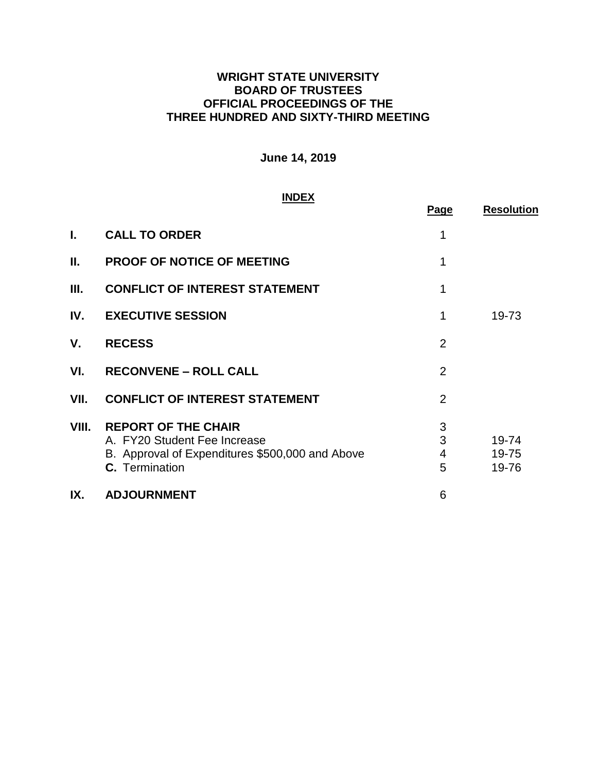## **WRIGHT STATE UNIVERSITY BOARD OF TRUSTEES OFFICIAL PROCEEDINGS OF THE THREE HUNDRED AND SIXTY-THIRD MEETING**

# **June 14, 2019**

#### **INDEX**

|       | <u>INDEX</u>                                                                                                                           |                               |                         |
|-------|----------------------------------------------------------------------------------------------------------------------------------------|-------------------------------|-------------------------|
|       |                                                                                                                                        | Page                          | <b>Resolution</b>       |
| L.    | <b>CALL TO ORDER</b>                                                                                                                   | 1                             |                         |
| П.    | <b>PROOF OF NOTICE OF MEETING</b>                                                                                                      | 1                             |                         |
| III.  | <b>CONFLICT OF INTEREST STATEMENT</b>                                                                                                  | 1                             |                         |
| IV.   | <b>EXECUTIVE SESSION</b>                                                                                                               | 1                             | 19-73                   |
| V.    | <b>RECESS</b>                                                                                                                          | $\overline{2}$                |                         |
| VI.   | <b>RECONVENE - ROLL CALL</b>                                                                                                           | $\overline{2}$                |                         |
| VII.  | <b>CONFLICT OF INTEREST STATEMENT</b>                                                                                                  | $\overline{2}$                |                         |
| VIII. | <b>REPORT OF THE CHAIR</b><br>A. FY20 Student Fee Increase<br>B. Approval of Expenditures \$500,000 and Above<br><b>C.</b> Termination | 3<br>3<br>$\overline{4}$<br>5 | 19-74<br>19-75<br>19-76 |
| IX.   | <b>ADJOURNMENT</b>                                                                                                                     | 6                             |                         |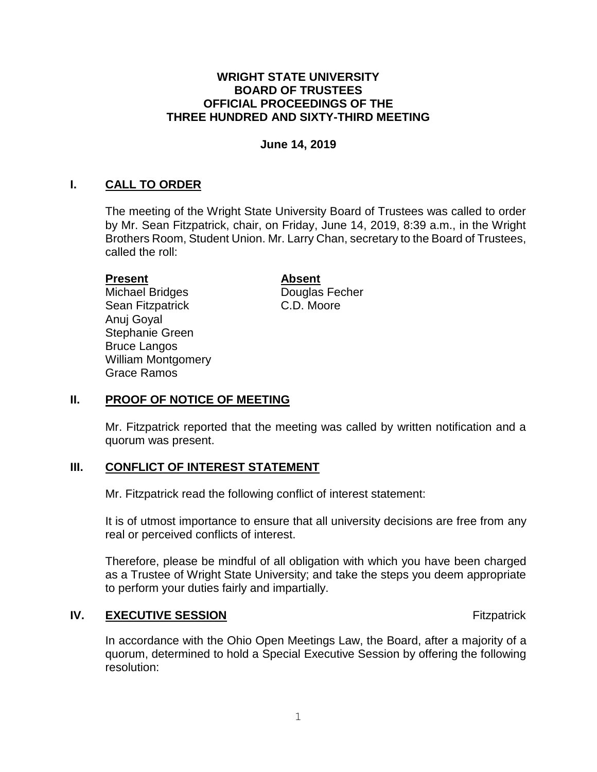#### **WRIGHT STATE UNIVERSITY BOARD OF TRUSTEES OFFICIAL PROCEEDINGS OF THE THREE HUNDRED AND SIXTY-THIRD MEETING**

#### **June 14, 2019**

## **I. CALL TO ORDER**

 The meeting of the Wright State University Board of Trustees was called to order by Mr. Sean Fitzpatrick, chair, on Friday, June 14, 2019, 8:39 a.m., in the Wright Brothers Room, Student Union. Mr. Larry Chan, secretary to the Board of Trustees, called the roll:

#### **Present**

Michael Bridges Sean Fitzpatrick Anuj Goyal Stephanie Green Bruce Langos William Montgomery Grace Ramos

**Absent**  Douglas Fecher C.D. Moore

#### **II. PROOF OF NOTICE OF MEETING**

 Mr. Fitzpatrick reported that the meeting was called by written notification and a quorum was present.

#### **III. CONFLICT OF INTEREST STATEMENT**

Mr. Fitzpatrick read the following conflict of interest statement:

 It is of utmost importance to ensure that all university decisions are free from any real or perceived conflicts of interest.

 Therefore, please be mindful of all obligation with which you have been charged as a Trustee of Wright State University; and take the steps you deem appropriate to perform your duties fairly and impartially.

## **IV.** EXECUTIVE SESSION **EXECUTIVE SESSION**

 In accordance with the Ohio Open Meetings Law, the Board, after a majority of a quorum, determined to hold a Special Executive Session by offering the following resolution: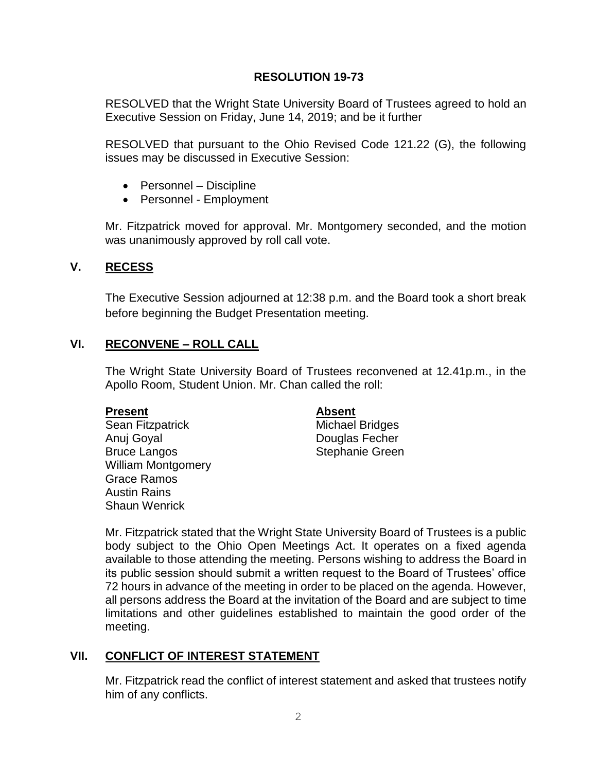## **RESOLUTION 19-73**

<span id="page-3-0"></span> RESOLVED that the Wright State University Board of Trustees agreed to hold an Executive Session on Friday, June 14, 2019; and be it further

 RESOLVED that pursuant to the Ohio Revised Code 121.22 (G), the following issues may be discussed in Executive Session:

- Personnel Discipline
- Personnel Employment

 Mr. Fitzpatrick moved for approval. Mr. Montgomery seconded, and the motion was unanimously approved by roll call vote.

# **V. RECESS**

 The Executive Session adjourned at 12:38 p.m. and the Board took a short break before beginning the Budget Presentation meeting.

# **VI. RECONVENE – ROLL CALL**

 The Wright State University Board of Trustees reconvened at 12.41p.m., in the Apollo Room, Student Union. Mr. Chan called the roll:

#### **Present Absent**

Sean Fitzpatrick Michael Bridges Anuj Goyal **Douglas Fecher** Bruce Langos **Stephanie Green** William Montgomery Grace Ramos Austin Rains Shaun Wenrick

 Mr. Fitzpatrick stated that the Wright State University Board of Trustees is a public body subject to the Ohio Open Meetings Act. It operates on a fixed agenda available to those attending the meeting. Persons wishing to address the Board in its public session should submit a written request to the Board of Trustees' office 72 hours in advance of the meeting in order to be placed on the agenda. However, all persons address the Board at the invitation of the Board and are subject to time limitations and other guidelines established to maintain the good order of the meeting.

# **VII. CONFLICT OF INTEREST STATEMENT**

 Mr. Fitzpatrick read the conflict of interest statement and asked that trustees notify him of any conflicts.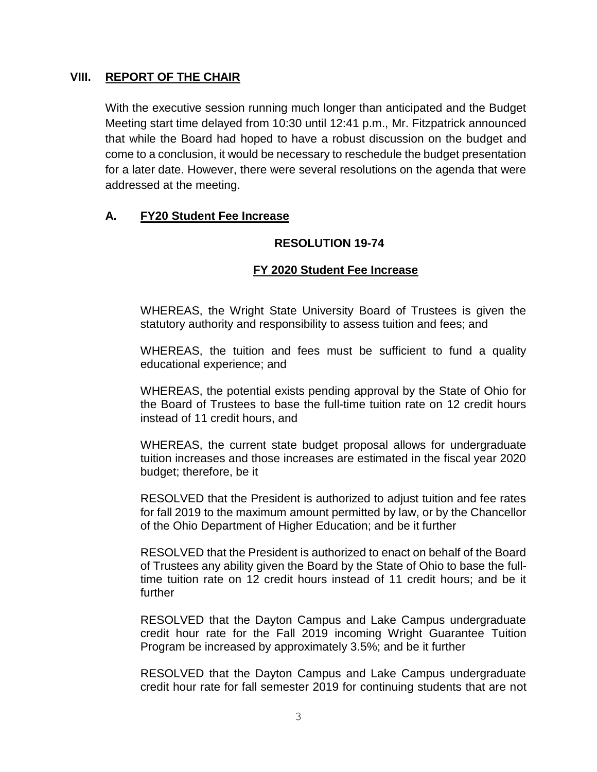#### <span id="page-4-0"></span>**VIII. REPORT OF THE CHAIR**

 With the executive session running much longer than anticipated and the Budget that while the Board had hoped to have a robust discussion on the budget and come to a conclusion, it would be necessary to reschedule the budget presentation for a later date. However, there were several resolutions on the agenda that were addressed at the meeting. Meeting start time delayed from 10:30 until 12:41 p.m., Mr. Fitzpatrick announced

#### **A. FY20 Student Fee Increase**

#### **RESOLUTION 19-74**

#### **FY 2020 Student Fee Increase**

 WHEREAS, the Wright State University Board of Trustees is given the statutory authority and responsibility to assess tuition and fees; and

 WHEREAS, the tuition and fees must be sufficient to fund a quality educational experience; and

 WHEREAS, the potential exists pending approval by the State of Ohio for the Board of Trustees to base the full-time tuition rate on 12 credit hours instead of 11 credit hours, and

 tuition increases and those increases are estimated in the fiscal year 2020 WHEREAS, the current state budget proposal allows for undergraduate budget; therefore, be it

 RESOLVED that the President is authorized to adjust tuition and fee rates for fall 2019 to the maximum amount permitted by law, or by the Chancellor of the Ohio Department of Higher Education; and be it further

 RESOLVED that the President is authorized to enact on behalf of the Board of Trustees any ability given the Board by the State of Ohio to base the full- time tuition rate on 12 credit hours instead of 11 credit hours; and be it further

 RESOLVED that the Dayton Campus and Lake Campus undergraduate credit hour rate for the Fall 2019 incoming Wright Guarantee Tuition Program be increased by approximately 3.5%; and be it further

 RESOLVED that the Dayton Campus and Lake Campus undergraduate credit hour rate for fall semester 2019 for continuing students that are not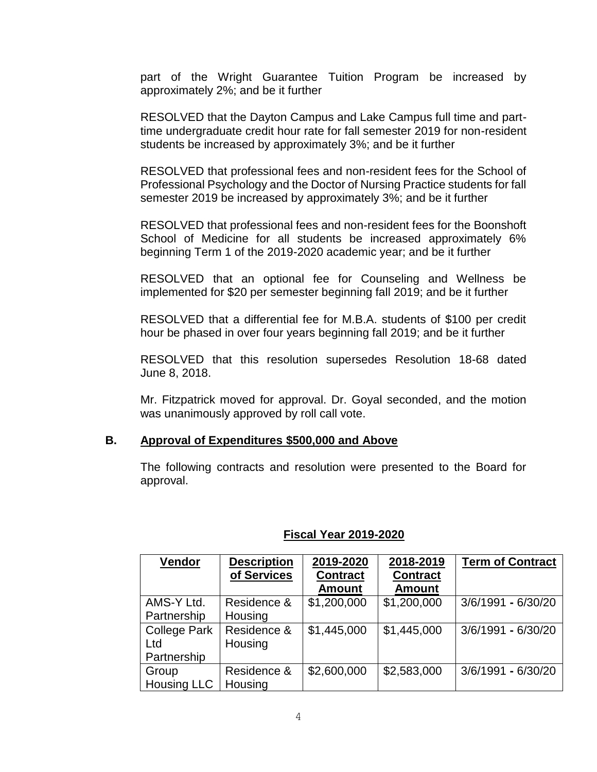part of the Wright Guarantee Tuition Program be increased by approximately 2%; and be it further

 RESOLVED that the Dayton Campus and Lake Campus full time and part- students be increased by approximately 3%; and be it further time undergraduate credit hour rate for fall semester 2019 for non-resident

 RESOLVED that professional fees and non-resident fees for the School of Professional Psychology and the Doctor of Nursing Practice students for fall semester 2019 be increased by approximately 3%; and be it further

 RESOLVED that professional fees and non-resident fees for the Boonshoft School of Medicine for all students be increased approximately 6% beginning Term 1 of the 2019-2020 academic year; and be it further

 RESOLVED that an optional fee for Counseling and Wellness be implemented for \$20 per semester beginning fall 2019; and be it further

 RESOLVED that a differential fee for M.B.A. students of \$100 per credit hour be phased in over four years beginning fall 2019; and be it further

 RESOLVED that this resolution supersedes Resolution 18-68 dated June 8, 2018.

 Mr. Fitzpatrick moved for approval. Dr. Goyal seconded, and the motion was unanimously approved by roll call vote.

#### **B. Approval of Expenditures \$500,000 and Above**

 The following contracts and resolution were presented to the Board for  approval.

| <b>Vendor</b>                             | <b>Description</b><br>of Services | 2019-2020<br><b>Contract</b><br><b>Amount</b> | 2018-2019<br><b>Contract</b><br><b>Amount</b> | <b>Term of Contract</b> |
|-------------------------------------------|-----------------------------------|-----------------------------------------------|-----------------------------------------------|-------------------------|
| AMS-Y Ltd.<br>Partnership                 | Residence &<br>Housing            | \$1,200,000                                   | \$1,200,000                                   | 3/6/1991 - 6/30/20      |
| <b>College Park</b><br>Ltd<br>Partnership | Residence &<br>Housing            | \$1,445,000                                   | \$1,445,000                                   | 3/6/1991 - 6/30/20      |
| Group<br><b>Housing LLC</b>               | Residence &<br>Housing            | \$2,600,000                                   | \$2,583,000                                   | 3/6/1991 - 6/30/20      |

#### **Fiscal Year 2019-2020**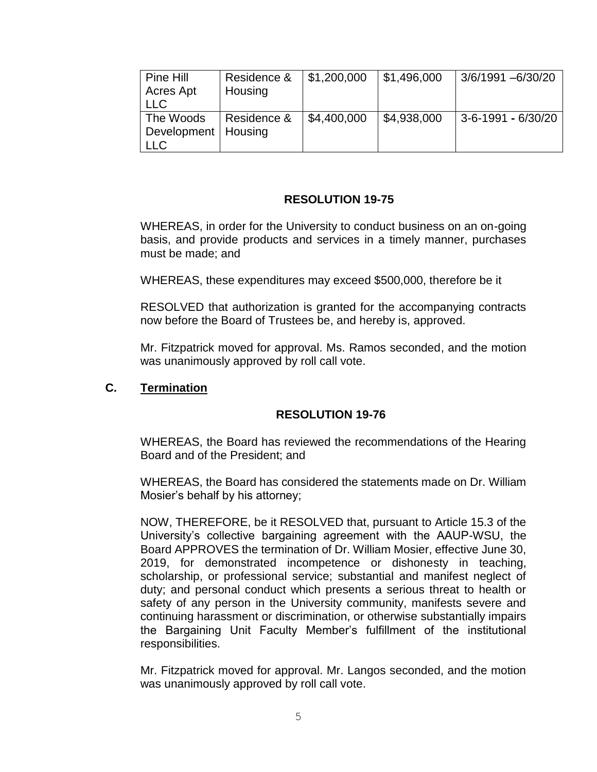| Pine Hill<br>Acres Apt<br><b>LLC</b>      | Residence &<br>Housing | \$1,200,000 | \$1,496,000 | 3/6/1991 -6/30/20  |
|-------------------------------------------|------------------------|-------------|-------------|--------------------|
| The Woods<br>Development   Housing<br>LLC | Residence &            | \$4,400,000 | \$4,938,000 | 3-6-1991 - 6/30/20 |

# **RESOLUTION 19-75**

 WHEREAS, in order for the University to conduct business on an on-going basis, and provide products and services in a timely manner, purchases must be made; and

WHEREAS, these expenditures may exceed \$500,000, therefore be it

 RESOLVED that authorization is granted for the accompanying contracts now before the Board of Trustees be, and hereby is, approved.

 Mr. Fitzpatrick moved for approval. Ms. Ramos seconded, and the motion was unanimously approved by roll call vote.

#### **C. Termination**

#### **RESOLUTION 19-76**

 WHEREAS, the Board has reviewed the recommendations of the Hearing Board and of the President; and

 WHEREAS, the Board has considered the statements made on Dr. William Mosier's behalf by his attorney;

 NOW, THEREFORE, be it RESOLVED that, pursuant to Article 15.3 of the University's collective bargaining agreement with the AAUP-WSU, the Board APPROVES the termination of Dr. William Mosier, effective June 30, scholarship, or professional service; substantial and manifest neglect of duty; and personal conduct which presents a serious threat to health or safety of any person in the University community, manifests severe and continuing harassment or discrimination, or otherwise substantially impairs the Bargaining Unit Faculty Member's fulfillment of the institutional responsibilities. 2019, for demonstrated incompetence or dishonesty in teaching,

responsibilities.<br>Mr. Fitzpatrick moved for approval. Mr. Langos seconded, and the motion was unanimously approved by roll call vote.